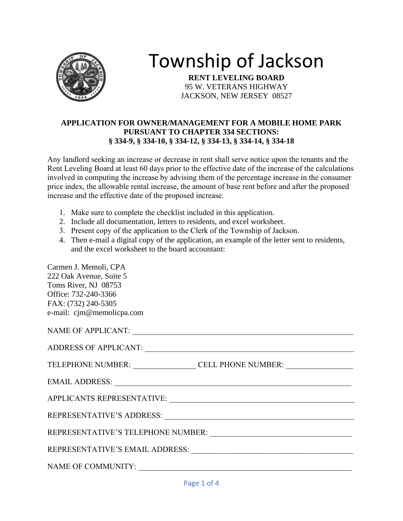

# Township of Jackson

**RENT LEVELING BOARD** 95 W. VETERANS HIGHWAY JACKSON, NEW JERSEY 08527

#### **APPLICATION FOR OWNER/MANAGEMENT FOR A MOBILE HOME PARK PURSUANT TO CHAPTER 334 SECTIONS: § 334-9, § 334-10, § 334-12, § 334-13, § 334-14, § 334-18**

Any landlord seeking an increase or decrease in rent shall serve notice upon the tenants and the Rent Leveling Board at least 60 days prior to the effective date of the increase of the calculations involved in computing the increase by advising them of the percentage increase in the consumer price index, the allowable rental increase, the amount of base rent before and after the proposed increase and the effective date of the proposed increase.

- 1. Make sure to complete the checklist included in this application.
- 2. Include all documentation, letters to residents, and excel worksheet.
- 3. Present copy of the application to the Clerk of the Township of Jackson.
- 4. Then e-mail a digital copy of the application, an example of the letter sent to residents, and the excel worksheet to the board accountant:

| Carmen J. Memoli, CPA                                                                                                                                                                                                          |
|--------------------------------------------------------------------------------------------------------------------------------------------------------------------------------------------------------------------------------|
| 222 Oak Avenue, Suite 5                                                                                                                                                                                                        |
| Toms River, NJ 08753                                                                                                                                                                                                           |
| Office: 732-240-3366                                                                                                                                                                                                           |
| FAX: (732) 240-5305                                                                                                                                                                                                            |
| e-mail: cjm@memolicpa.com                                                                                                                                                                                                      |
|                                                                                                                                                                                                                                |
|                                                                                                                                                                                                                                |
|                                                                                                                                                                                                                                |
|                                                                                                                                                                                                                                |
| TELEPHONE NUMBER: CELL PHONE NUMBER:                                                                                                                                                                                           |
|                                                                                                                                                                                                                                |
|                                                                                                                                                                                                                                |
|                                                                                                                                                                                                                                |
|                                                                                                                                                                                                                                |
|                                                                                                                                                                                                                                |
| REPRESENTATIVE'S ADDRESS: University of the set of the set of the set of the set of the set of the set of the set of the set of the set of the set of the set of the set of the set of the set of the set of the set of the se |
|                                                                                                                                                                                                                                |
|                                                                                                                                                                                                                                |
| REPRESENTATIVE'S EMAIL ADDRESS: University of the set of the set of the set of the set of the set of the set of the set of the set of the set of the set of the set of the set of the set of the set of the set of the set of  |
|                                                                                                                                                                                                                                |
|                                                                                                                                                                                                                                |
|                                                                                                                                                                                                                                |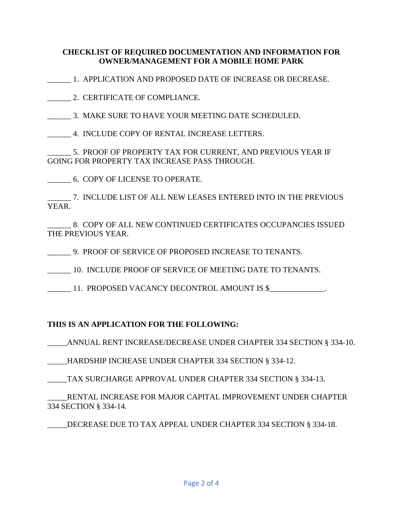#### **CHECKLIST OF REQUIRED DOCUMENTATION AND INFORMATION FOR OWNER/MANAGEMENT FOR A MOBILE HOME PARK**

\_\_\_\_\_\_ 1. APPLICATION AND PROPOSED DATE OF INCREASE OR DECREASE.

\_\_\_\_\_\_ 2. CERTIFICATE OF COMPLIANCE.

\_\_\_\_\_\_ 3. MAKE SURE TO HAVE YOUR MEETING DATE SCHEDULED.

\_\_\_\_\_\_ 4. INCLUDE COPY OF RENTAL INCREASE LETTERS.

5. PROOF OF PROPERTY TAX FOR CURRENT, AND PREVIOUS YEAR IF GOING FOR PROPERTY TAX INCREASE PASS THROUGH.

\_\_\_\_\_\_ 6. COPY OF LICENSE TO OPERATE.

\_\_\_\_\_\_ 7. INCLUDE LIST OF ALL NEW LEASES ENTERED INTO IN THE PREVIOUS YEAR.

8. COPY OF ALL NEW CONTINUED CERTIFICATES OCCUPANCIES ISSUED THE PREVIOUS YEAR.

\_\_\_\_\_\_ 9. PROOF OF SERVICE OF PROPOSED INCREASE TO TENANTS.

\_\_\_\_\_\_ 10. INCLUDE PROOF OF SERVICE OF MEETING DATE TO TENANTS.

\_\_\_\_\_\_ 11. PROPOSED VACANCY DECONTROL AMOUNT IS \$\_\_\_\_\_\_\_\_\_\_\_\_\_\_.

### **THIS IS AN APPLICATION FOR THE FOLLOWING:**

\_\_\_\_\_ANNUAL RENT INCREASE/DECREASE UNDER CHAPTER 334 SECTION § 334-10.

\_\_\_\_\_HARDSHIP INCREASE UNDER CHAPTER 334 SECTION § 334-12.

\_\_\_\_\_TAX SURCHARGE APPROVAL UNDER CHAPTER 334 SECTION § 334-13.

\_\_\_\_\_RENTAL INCREASE FOR MAJOR CAPITAL IMPROVEMENT UNDER CHAPTER 334 SECTION § 334-14.

DECREASE DUE TO TAX APPEAL UNDER CHAPTER 334 SECTION § 334-18.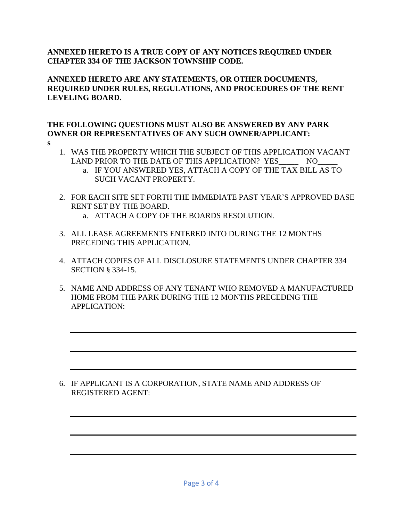#### **ANNEXED HERETO IS A TRUE COPY OF ANY NOTICES REQUIRED UNDER CHAPTER 334 OF THE JACKSON TOWNSHIP CODE.**

**ANNEXED HERETO ARE ANY STATEMENTS, OR OTHER DOCUMENTS, REQUIRED UNDER RULES, REGULATIONS, AND PROCEDURES OF THE RENT LEVELING BOARD.**

## **THE FOLLOWING QUESTIONS MUST ALSO BE ANSWERED BY ANY PARK OWNER OR REPRESENTATIVES OF ANY SUCH OWNER/APPLICANT:**

- **s**
- 1. WAS THE PROPERTY WHICH THE SUBJECT OF THIS APPLICATION VACANT LAND PRIOR TO THE DATE OF THIS APPLICATION? YES NO
	- a. IF YOU ANSWERED YES, ATTACH A COPY OF THE TAX BILL AS TO SUCH VACANT PROPERTY.
- 2. FOR EACH SITE SET FORTH THE IMMEDIATE PAST YEAR'S APPROVED BASE RENT SET BY THE BOARD.
	- a. ATTACH A COPY OF THE BOARDS RESOLUTION.
- 3. ALL LEASE AGREEMENTS ENTERED INTO DURING THE 12 MONTHS PRECEDING THIS APPLICATION.
- 4. ATTACH COPIES OF ALL DISCLOSURE STATEMENTS UNDER CHAPTER 334 SECTION § 334-15.
- 5. NAME AND ADDRESS OF ANY TENANT WHO REMOVED A MANUFACTURED HOME FROM THE PARK DURING THE 12 MONTHS PRECEDING THE APPLICATION:

#### 6. IF APPLICANT IS A CORPORATION, STATE NAME AND ADDRESS OF REGISTERED AGENT: